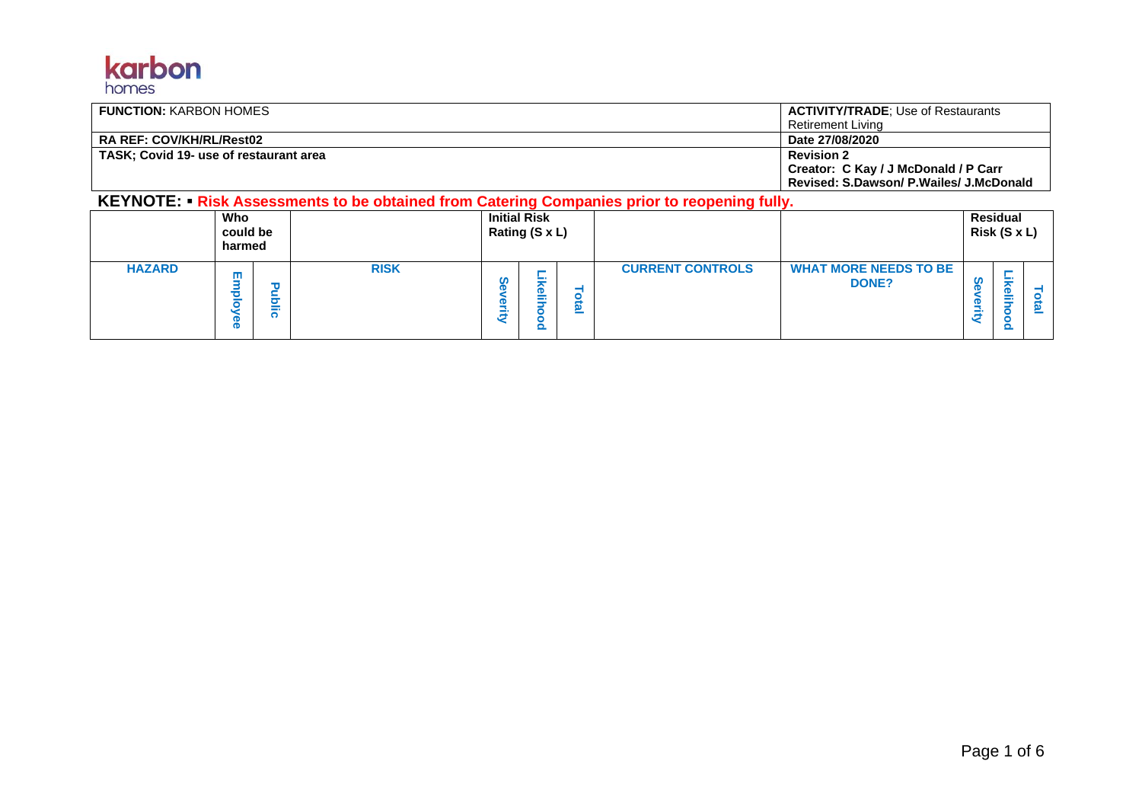

| <b>FUNCTION: KARBON HOMES</b>          | <b>ACTIVITY/TRADE: Use of Restaurants</b> |
|----------------------------------------|-------------------------------------------|
|                                        | Retirement Livina                         |
| <b>RA REF: COV/KH/RL/Rest02</b>        | Date 27/08/2020                           |
| TASK: Covid 19- use of restaurant area | <b>Revision 2</b>                         |
|                                        | Creator: C Kay / J McDonald / P Carr      |
|                                        | Revised: S.Dawson/ P.Wailes/ J.McDonald   |

**KEYNOTE:** ▪ **Risk Assessments to be obtained from Catering Companies prior to reopening fully.**

|               | Who<br>could be<br>harmed |        |             |             | <b>Initial Risk</b><br>Rating (S x L) |        |                         |                                              | <b>Residual</b><br>Risk (S x L) |    |
|---------------|---------------------------|--------|-------------|-------------|---------------------------------------|--------|-------------------------|----------------------------------------------|---------------------------------|----|
| <b>HAZARD</b> | ш<br>$\mathbf{p}$         | ᄒ<br>j | <b>RISK</b> | m<br>$\sim$ | - 1<br>- 1                            | υ<br>= | <b>CURRENT CONTROLS</b> | <b>WHAT MORE NEEDS TO BE</b><br><b>DONE?</b> | $\mathbf \Phi$<br>m.            | ≃. |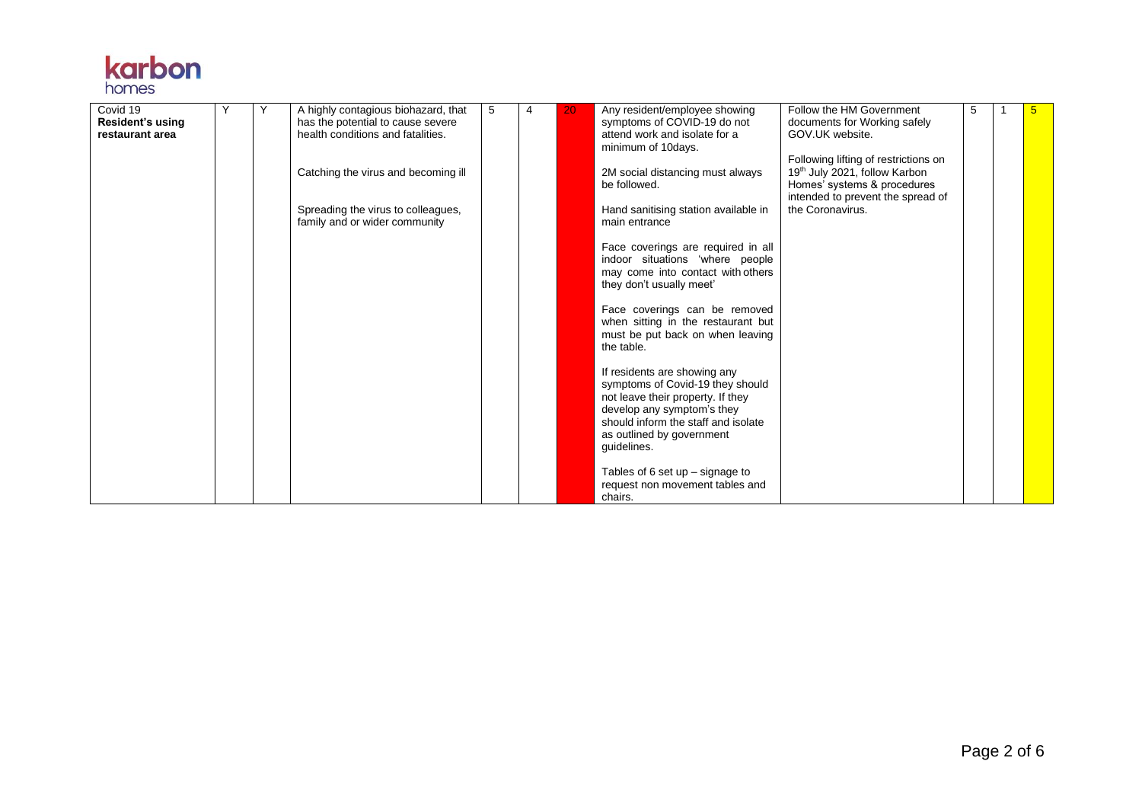

| Covid 19                | Y | Y | A highly contagious biohazard, that | 5 | 4 | 20 | Any resident/employee showing                                        | Follow the HM Government             | 5 | 5 |
|-------------------------|---|---|-------------------------------------|---|---|----|----------------------------------------------------------------------|--------------------------------------|---|---|
| <b>Resident's using</b> |   |   | has the potential to cause severe   |   |   |    | symptoms of COVID-19 do not                                          | documents for Working safely         |   |   |
| restaurant area         |   |   | health conditions and fatalities.   |   |   |    | attend work and isolate for a                                        | GOV.UK website.                      |   |   |
|                         |   |   |                                     |   |   |    | minimum of 10days.                                                   | Following lifting of restrictions on |   |   |
|                         |   |   | Catching the virus and becoming ill |   |   |    | 2M social distancing must always                                     | 19th July 2021, follow Karbon        |   |   |
|                         |   |   |                                     |   |   |    | be followed.                                                         | Homes' systems & procedures          |   |   |
|                         |   |   |                                     |   |   |    |                                                                      | intended to prevent the spread of    |   |   |
|                         |   |   | Spreading the virus to colleagues,  |   |   |    | Hand sanitising station available in                                 | the Coronavirus.                     |   |   |
|                         |   |   | family and or wider community       |   |   |    | main entrance                                                        |                                      |   |   |
|                         |   |   |                                     |   |   |    |                                                                      |                                      |   |   |
|                         |   |   |                                     |   |   |    | Face coverings are required in all                                   |                                      |   |   |
|                         |   |   |                                     |   |   |    | indoor situations 'where people<br>may come into contact with others |                                      |   |   |
|                         |   |   |                                     |   |   |    | they don't usually meet'                                             |                                      |   |   |
|                         |   |   |                                     |   |   |    |                                                                      |                                      |   |   |
|                         |   |   |                                     |   |   |    | Face coverings can be removed                                        |                                      |   |   |
|                         |   |   |                                     |   |   |    | when sitting in the restaurant but                                   |                                      |   |   |
|                         |   |   |                                     |   |   |    | must be put back on when leaving                                     |                                      |   |   |
|                         |   |   |                                     |   |   |    | the table.                                                           |                                      |   |   |
|                         |   |   |                                     |   |   |    |                                                                      |                                      |   |   |
|                         |   |   |                                     |   |   |    | If residents are showing any<br>symptoms of Covid-19 they should     |                                      |   |   |
|                         |   |   |                                     |   |   |    | not leave their property. If they                                    |                                      |   |   |
|                         |   |   |                                     |   |   |    | develop any symptom's they                                           |                                      |   |   |
|                         |   |   |                                     |   |   |    | should inform the staff and isolate                                  |                                      |   |   |
|                         |   |   |                                     |   |   |    | as outlined by government                                            |                                      |   |   |
|                         |   |   |                                     |   |   |    | guidelines.                                                          |                                      |   |   |
|                         |   |   |                                     |   |   |    |                                                                      |                                      |   |   |
|                         |   |   |                                     |   |   |    | Tables of 6 set up $-$ signage to                                    |                                      |   |   |
|                         |   |   |                                     |   |   |    | request non movement tables and<br>chairs.                           |                                      |   |   |
|                         |   |   |                                     |   |   |    |                                                                      |                                      |   |   |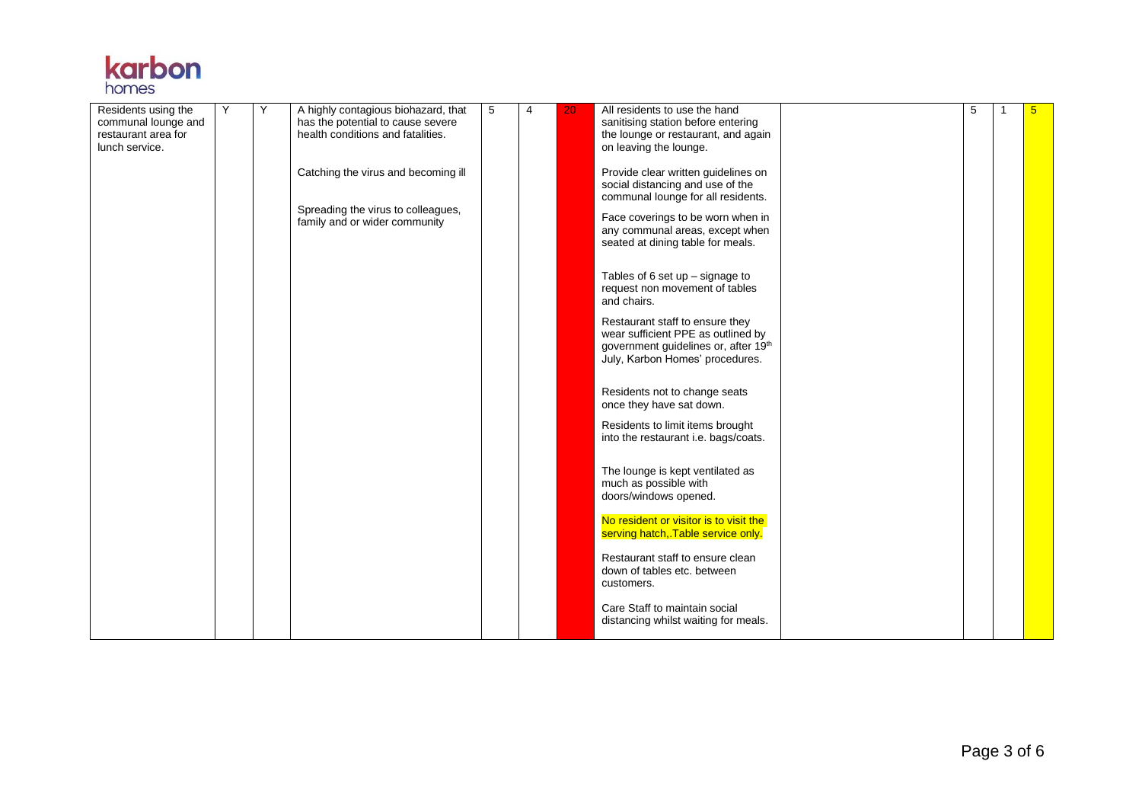

| Residents using the<br>communal lounge and<br>restaurant area for | Y | Y | A highly contagious biohazard, that<br>has the potential to cause severe<br>health conditions and fatalities. | 5 | 4 | 20 | All residents to use the hand<br>sanitising station before entering<br>the lounge or restaurant, and again                                                                                                                                           | 5 | 5 |
|-------------------------------------------------------------------|---|---|---------------------------------------------------------------------------------------------------------------|---|---|----|------------------------------------------------------------------------------------------------------------------------------------------------------------------------------------------------------------------------------------------------------|---|---|
| lunch service.                                                    |   |   | Catching the virus and becoming ill<br>Spreading the virus to colleagues,<br>family and or wider community    |   |   |    | on leaving the lounge.<br>Provide clear written guidelines on<br>social distancing and use of the<br>communal lounge for all residents.<br>Face coverings to be worn when in<br>any communal areas, except when<br>seated at dining table for meals. |   |   |
|                                                                   |   |   |                                                                                                               |   |   |    | Tables of 6 set up $-$ signage to<br>request non movement of tables<br>and chairs.                                                                                                                                                                   |   |   |
|                                                                   |   |   |                                                                                                               |   |   |    | Restaurant staff to ensure they<br>wear sufficient PPE as outlined by<br>government guidelines or, after 19th<br>July, Karbon Homes' procedures.                                                                                                     |   |   |
|                                                                   |   |   |                                                                                                               |   |   |    | Residents not to change seats<br>once they have sat down.<br>Residents to limit items brought                                                                                                                                                        |   |   |
|                                                                   |   |   |                                                                                                               |   |   |    | into the restaurant i.e. bags/coats.                                                                                                                                                                                                                 |   |   |
|                                                                   |   |   |                                                                                                               |   |   |    | The lounge is kept ventilated as<br>much as possible with<br>doors/windows opened.                                                                                                                                                                   |   |   |
|                                                                   |   |   |                                                                                                               |   |   |    | No resident or visitor is to visit the<br>serving hatch, Table service only.                                                                                                                                                                         |   |   |
|                                                                   |   |   |                                                                                                               |   |   |    | Restaurant staff to ensure clean<br>down of tables etc. between<br>customers.                                                                                                                                                                        |   |   |
|                                                                   |   |   |                                                                                                               |   |   |    | Care Staff to maintain social<br>distancing whilst waiting for meals.                                                                                                                                                                                |   |   |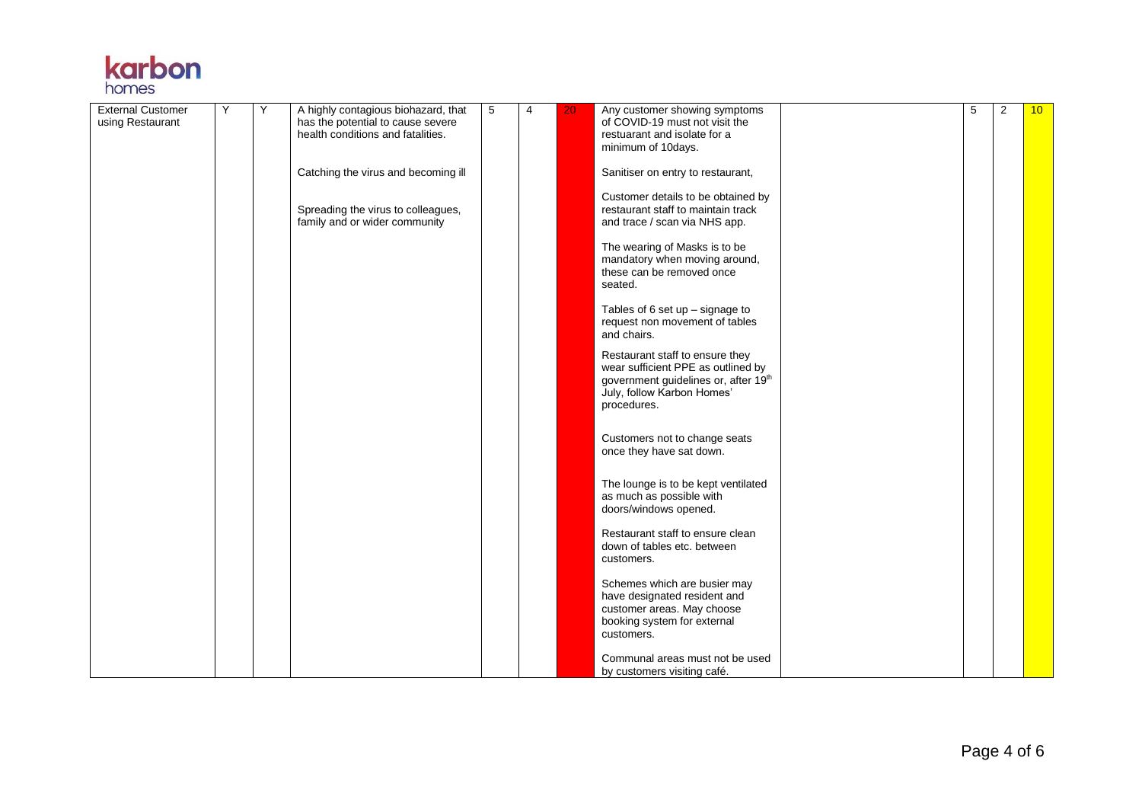

| <b>External Customer</b> | Y | Y | A highly contagious biohazard, that                                    | 5 | 4 | 20 | Any customer showing symptoms                                              | 5 | $\overline{2}$ | 10 <sup>°</sup> |
|--------------------------|---|---|------------------------------------------------------------------------|---|---|----|----------------------------------------------------------------------------|---|----------------|-----------------|
| using Restaurant         |   |   | has the potential to cause severe<br>health conditions and fatalities. |   |   |    | of COVID-19 must not visit the<br>restuarant and isolate for a             |   |                |                 |
|                          |   |   |                                                                        |   |   |    | minimum of 10days.                                                         |   |                |                 |
|                          |   |   |                                                                        |   |   |    |                                                                            |   |                |                 |
|                          |   |   | Catching the virus and becoming ill                                    |   |   |    | Sanitiser on entry to restaurant,                                          |   |                |                 |
|                          |   |   |                                                                        |   |   |    | Customer details to be obtained by                                         |   |                |                 |
|                          |   |   | Spreading the virus to colleagues,                                     |   |   |    | restaurant staff to maintain track                                         |   |                |                 |
|                          |   |   | family and or wider community                                          |   |   |    | and trace / scan via NHS app.                                              |   |                |                 |
|                          |   |   |                                                                        |   |   |    |                                                                            |   |                |                 |
|                          |   |   |                                                                        |   |   |    | The wearing of Masks is to be<br>mandatory when moving around,             |   |                |                 |
|                          |   |   |                                                                        |   |   |    | these can be removed once                                                  |   |                |                 |
|                          |   |   |                                                                        |   |   |    | seated.                                                                    |   |                |                 |
|                          |   |   |                                                                        |   |   |    |                                                                            |   |                |                 |
|                          |   |   |                                                                        |   |   |    | Tables of 6 set up $-$ signage to                                          |   |                |                 |
|                          |   |   |                                                                        |   |   |    | request non movement of tables<br>and chairs.                              |   |                |                 |
|                          |   |   |                                                                        |   |   |    |                                                                            |   |                |                 |
|                          |   |   |                                                                        |   |   |    | Restaurant staff to ensure they                                            |   |                |                 |
|                          |   |   |                                                                        |   |   |    | wear sufficient PPE as outlined by<br>government guidelines or, after 19th |   |                |                 |
|                          |   |   |                                                                        |   |   |    | July, follow Karbon Homes'                                                 |   |                |                 |
|                          |   |   |                                                                        |   |   |    | procedures.                                                                |   |                |                 |
|                          |   |   |                                                                        |   |   |    |                                                                            |   |                |                 |
|                          |   |   |                                                                        |   |   |    | Customers not to change seats                                              |   |                |                 |
|                          |   |   |                                                                        |   |   |    | once they have sat down.                                                   |   |                |                 |
|                          |   |   |                                                                        |   |   |    |                                                                            |   |                |                 |
|                          |   |   |                                                                        |   |   |    | The lounge is to be kept ventilated                                        |   |                |                 |
|                          |   |   |                                                                        |   |   |    | as much as possible with                                                   |   |                |                 |
|                          |   |   |                                                                        |   |   |    | doors/windows opened.                                                      |   |                |                 |
|                          |   |   |                                                                        |   |   |    | Restaurant staff to ensure clean                                           |   |                |                 |
|                          |   |   |                                                                        |   |   |    | down of tables etc. between                                                |   |                |                 |
|                          |   |   |                                                                        |   |   |    | customers.                                                                 |   |                |                 |
|                          |   |   |                                                                        |   |   |    |                                                                            |   |                |                 |
|                          |   |   |                                                                        |   |   |    | Schemes which are busier may                                               |   |                |                 |
|                          |   |   |                                                                        |   |   |    | have designated resident and                                               |   |                |                 |
|                          |   |   |                                                                        |   |   |    | customer areas. May choose<br>booking system for external                  |   |                |                 |
|                          |   |   |                                                                        |   |   |    | customers.                                                                 |   |                |                 |
|                          |   |   |                                                                        |   |   |    |                                                                            |   |                |                 |
|                          |   |   |                                                                        |   |   |    | Communal areas must not be used                                            |   |                |                 |
|                          |   |   |                                                                        |   |   |    | by customers visiting café.                                                |   |                |                 |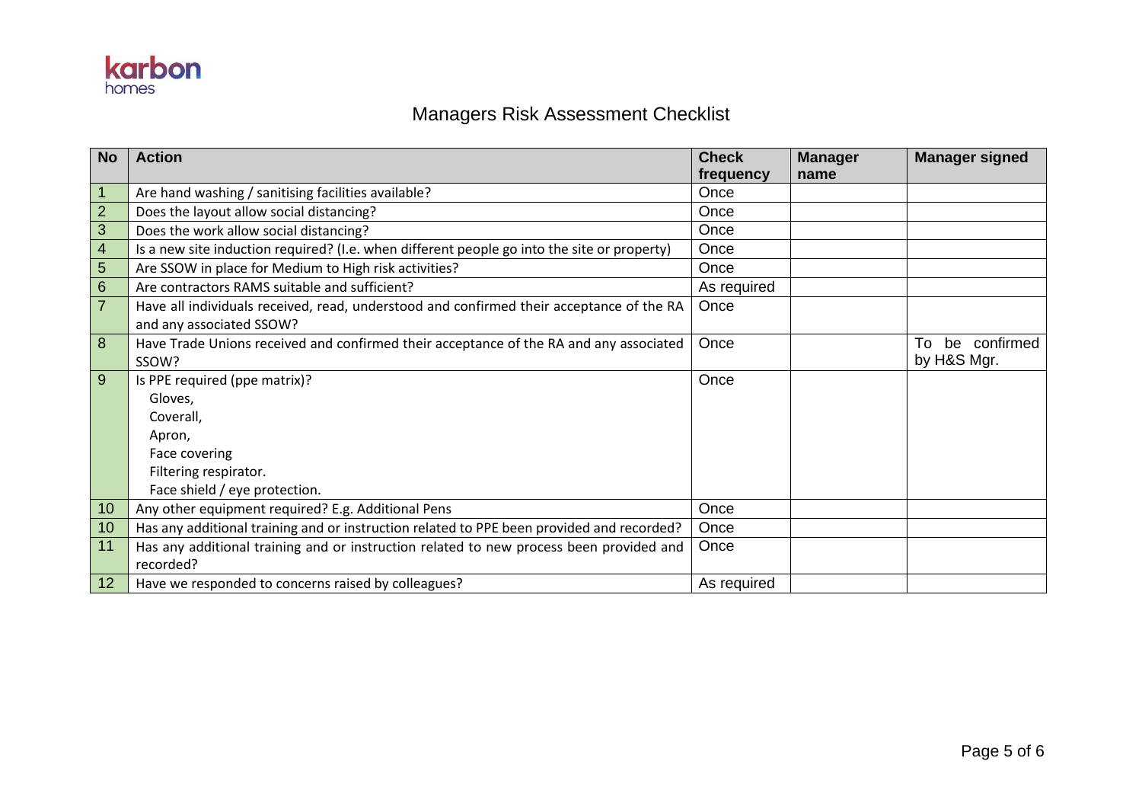

## Managers Risk Assessment Checklist

| <b>No</b>      | <b>Action</b>                                                                               | <b>Check</b> | <b>Manager</b> | <b>Manager signed</b> |
|----------------|---------------------------------------------------------------------------------------------|--------------|----------------|-----------------------|
|                |                                                                                             | frequency    | name           |                       |
|                | Are hand washing / sanitising facilities available?                                         | Once         |                |                       |
| $\overline{2}$ | Does the layout allow social distancing?                                                    | Once         |                |                       |
| 3              | Does the work allow social distancing?                                                      | Once         |                |                       |
| 4              | Is a new site induction required? (I.e. when different people go into the site or property) | Once         |                |                       |
| 5              | Are SSOW in place for Medium to High risk activities?                                       | Once         |                |                       |
| 6              | Are contractors RAMS suitable and sufficient?                                               | As required  |                |                       |
| $\overline{7}$ | Have all individuals received, read, understood and confirmed their acceptance of the RA    | Once         |                |                       |
|                | and any associated SSOW?                                                                    |              |                |                       |
| 8              | Have Trade Unions received and confirmed their acceptance of the RA and any associated      | Once         |                | be confirmed<br>To    |
|                | SSOW?                                                                                       |              |                | by H&S Mgr.           |
| 9              | Is PPE required (ppe matrix)?                                                               | Once         |                |                       |
|                | Gloves,                                                                                     |              |                |                       |
|                | Coverall.                                                                                   |              |                |                       |
|                | Apron,                                                                                      |              |                |                       |
|                | Face covering                                                                               |              |                |                       |
|                | Filtering respirator.                                                                       |              |                |                       |
|                | Face shield / eye protection.                                                               |              |                |                       |
| 10             | Any other equipment required? E.g. Additional Pens                                          | Once         |                |                       |
| 10             | Has any additional training and or instruction related to PPE been provided and recorded?   | Once         |                |                       |
| 11             | Has any additional training and or instruction related to new process been provided and     | Once         |                |                       |
|                | recorded?                                                                                   |              |                |                       |
| 12             | Have we responded to concerns raised by colleagues?                                         | As required  |                |                       |